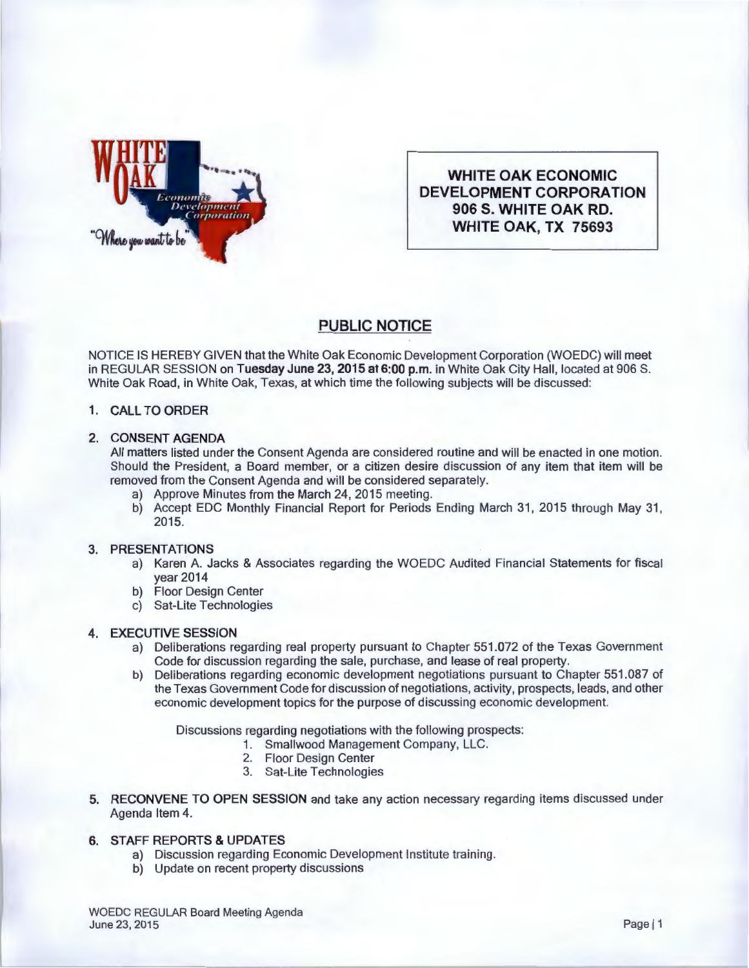

**WHITE OAK ECONOMIC DEVELOPMENT CORPORATION 906 S. WHITE OAK RD. WHITE OAK, TX 75693** 

# **PUBLIC NOTICE**

NOTICE IS HEREBY GIVEN that the White Oak Economic Development Corporation (WOEDC) will meet in REGULAR SESSION on **Tuesday June 23, 2015 at 6:00p.m.** in White Oak City Hall, located at 906 S. White Oak Road, in White Oak, Texas, at which time the following subjects will be discussed:

# **1. CALL TO ORDER**

# **2. CONSENT AGENDA**

All matters listed under the Consent Agenda are considered routine and will be enacted in one motion. Should the President, a Board member, or a citizen desire discussion of any item that item will be removed from the Consent Agenda and will be considered separately.

- a) Approve Minutes from the March 24, 2015 meeting.
- b) Accept EDC Monthly Financial Report for Periods Ending March 31, 2015 through May 31, 2015.

#### **3. PRESENTATIONS**

- a) Karen A. Jacks & Associates regarding the WOEDC Audited Financial Statements for fiscal year 2014
- b) Floor Design Center
- c) Sat-Lite Technologies

# **4. EXECUTIVE SESSION**

- a) Deliberations regarding real property pursuant to Chapter 551.072 of the Texas Government Code for discussion regarding the sale, purchase, and lease of real property.
- b) Deliberations regarding economic development negotiations pursuant to Chapter 551.087 of the Texas Government Code for discussion of negotiations, activity, prospects, leads, and other economic development topics for the purpose of discussing economic development.

Discussions regarding negotiations with the following prospects:

- **1.** Smallwood Management Company, LLC.
	- 2. Floor Design Center
	- 3. Sat-Lite Technologies
- **5. RECONVENE TO OPEN SESSION** and take any action necessary regarding items discussed under Agenda Item 4.

# **6. STAFF REPORTS &UPDATES**

- a) Discussion regarding Economic Development Institute training.
- b) Update on recent property discussions